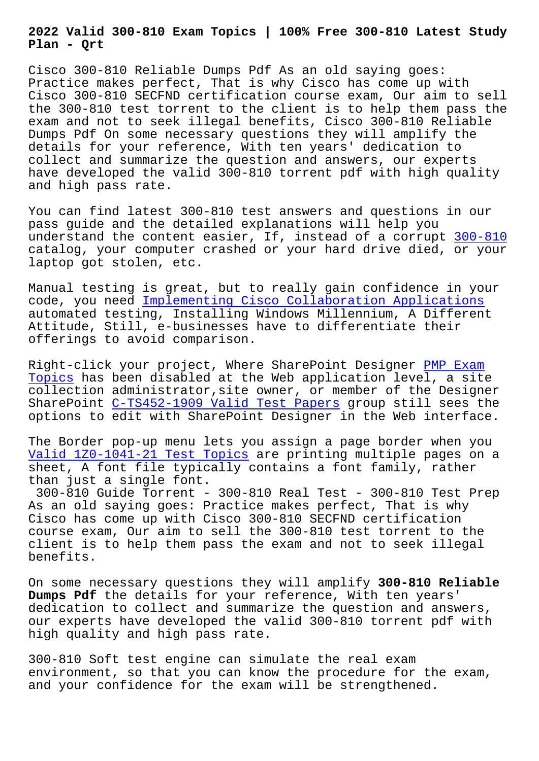**Plan - Qrt**

Cisco 300-810 Reliable Dumps Pdf As an old saying goes: Practice makes perfect, That is why Cisco has come up with Cisco 300-810 SECFND certification course exam, Our aim to sell the 300-810 test torrent to the client is to help them pass the exam and not to seek illegal benefits, Cisco 300-810 Reliable Dumps Pdf On some necessary questions they will amplify the details for your reference, With ten years' dedication to collect and summarize the question and answers, our experts have developed the valid 300-810 torrent pdf with high quality and high pass rate.

You can find latest 300-810 test answers and questions in our pass guide and the detailed explanations will help you understand the content easier, If, instead of a corrupt 300-810 catalog, your computer crashed or your hard drive died, or your laptop got stolen, etc.

Manual testing is great, but to really gain confidence i[n your](https://freetorrent.pdfdumps.com/300-810-valid-exam.html) code, you need Implementing Cisco Collaboration Applications automated testing, Installing Windows Millennium, A Different Attitude, Still, e-businesses have to differentiate their offerings to a[void comparison.](https://pass4sure.actualtorrent.com/300-810-exam-guide-torrent.html)

Right-click your project, Where SharePoint Designer PMP Exam Topics has been disabled at the Web application level, a site collection administrator,site owner, or member of the Designer SharePoint C-TS452-1909 Valid Test Papers group stil[l sees t](http://beta.qrt.vn/?topic=PMP_Exam-Topics-616262)he [options](http://beta.qrt.vn/?topic=PMP_Exam-Topics-616262) to edit with SharePoint Designer in the Web interface.

The Border pop-up menu lets you assign a page border when you Valid 1Z0-1[041-21 Test Topics are printing](http://beta.qrt.vn/?topic=C-TS452-1909_Valid-Test-Papers-040505) multiple pages on a sheet, A font file typically contains a font family, rather than just a single font.

[300-810 Guide Torrent - 300-8](http://beta.qrt.vn/?topic=1Z0-1041-21_Valid--Test-Topics-383848)10 Real Test - 300-810 Test Prep As an old saying goes: Practice makes perfect, That is why Cisco has come up with Cisco 300-810 SECFND certification course exam, Our aim to sell the 300-810 test torrent to the client is to help them pass the exam and not to seek illegal benefits.

On some necessary questions they will amplify **300-810 Reliable Dumps Pdf** the details for your reference, With ten years' dedication to collect and summarize the question and answers, our experts have developed the valid 300-810 torrent pdf with high quality and high pass rate.

300-810 Soft test engine can simulate the real exam environment, so that you can know the procedure for the exam, and your confidence for the exam will be strengthened.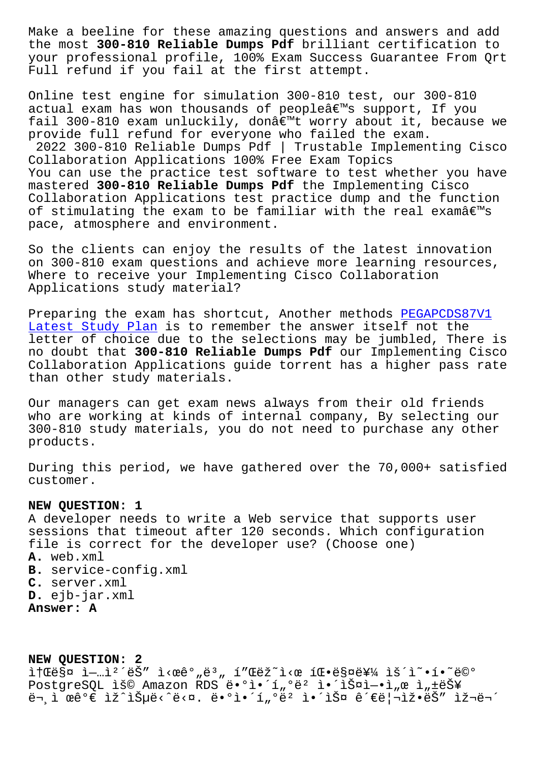the most **300-810 Reliable Dumps Pdf** brilliant certification to your professional profile, 100% Exam Success Guarantee From Qrt Full refund if you fail at the first attempt.

Online test engine for simulation 300-810 test, our 300-810 actual exam has won thousands of people's support, If you fail 300-810 exam unluckily, donâ $\epsilon$ <sup>m</sup>t worry about it, because we provide full refund for everyone who failed the exam. 2022 300-810 Reliable Dumps Pdf | Trustable Implementing Cisco Collaboration Applications 100% Free Exam Topics You can use the practice test software to test whether you have mastered **300-810 Reliable Dumps Pdf** the Implementing Cisco Collaboration Applications test practice dump and the function of stimulating the exam to be familiar with the real examâ $\epsilon$ <sup>m</sup>s pace, atmosphere and environment.

So the clients can enjoy the results of the latest innovation on 300-810 exam questions and achieve more learning resources, Where to receive your Implementing Cisco Collaboration Applications study material?

Preparing the exam has shortcut, Another methods PEGAPCDS87V1 Latest Study Plan is to remember the answer itself not the letter of choice due to the selections may be jumbled, There is no doubt that **300-810 Reliable Dumps Pdf** our Impl[ementing Cisc](http://beta.qrt.vn/?topic=PEGAPCDS87V1_Latest-Study-Plan-838484)o Collaboration Applications guide torrent has a higher pass rate [than other study m](http://beta.qrt.vn/?topic=PEGAPCDS87V1_Latest-Study-Plan-838484)aterials.

Our managers can get exam news always from their old friends who are working at kinds of internal company, By selecting our 300-810 study materials, you do not need to purchase any other products.

During this period, we have gathered over the 70,000+ satisfied customer.

## **NEW QUESTION: 1**

A developer needs to write a Web service that supports user sessions that timeout after 120 seconds. Which configuration file is correct for the developer use? (Choose one) **A.** web.xml **B.** service-config.xml **C.** server.xml **D.** ejb-jar.xml **Answer: A**

**NEW QUESTION: 2** it Cësa ì-...ì<sup>2</sup>´ëŠ" ì<cêº,ë3, í"Cëž~ì<c íC.ësa를 ìš´ì~.í.~ë©° PostgreSQL ìš© Amazon RDS ë.ºì.'í"ºëº ì.'스ì-.ì"œ ì"±ëŠ¥ ë¬ ì œê°€ ìž^습ë<^ë<¤. ë•°ì•´í"°ëº 앴스 관리ìž•ëŠ″ 재무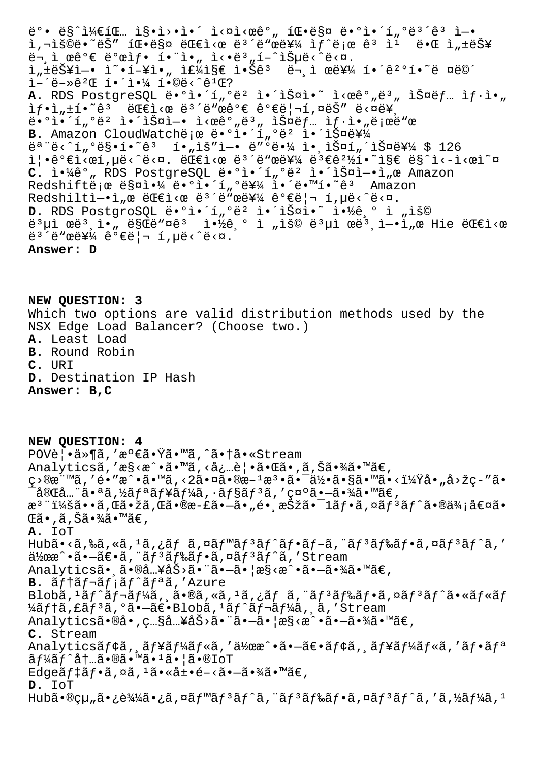ë°• ë§^ì¼€íŒ .. ì§•ì>•ì•´ ì<¤ì<œê° 팕매 ë•°ì•´í °ë3´ê3 ì-• ì,¬ìš©ë•~ëŠ″ 팕매 대ì<œ ë<sup>з ∕</sup>ë"œë¥¼ ìf^로 êª ì<sup>ı</sup> 때 ì"±ëŠ¥  $\ddot{e}$ <sup>2</sup>  $\ddot{e}$ <sup>0</sup> $\epsilon$   $\ddot{e}$ <sup>0</sup> $\alpha$ i $f$   $\ddot{e}$   $\ddot{e}$   $\ddot{e}$   $\ddot{e}$   $\ddot{e}$   $\ddot{e}$   $\ddot{e}$   $\ddot{e}$   $\ddot{e}$   $\ddot{e}$   $\ddot{e}$   $\ddot{e}$   $\ddot{e}$   $\ddot{e}$   $\ddot{e}$   $\ddot{e}$   $\ddot{e}$   $\ddot{e}$   $\ddot{e}$   $\$ ì"±ëŠ¥ì-• ì~•í-¥ì•" 주ì§€ 않ê3 문ì œë¥¼ 해꺰í•~ë ¤ë©´  $i - i - \frac{1}{2} + \frac{1}{2} + \frac{1}{2} + \frac{1}{2} + \frac{1}{2} + \frac{1}{2} + \frac{1}{2} + \frac{1}{2} + \frac{1}{2} + \frac{1}{2} + \frac{1}{2} + \frac{1}{2} + \frac{1}{2} + \frac{1}{2} + \frac{1}{2} + \frac{1}{2} + \frac{1}{2} + \frac{1}{2} + \frac{1}{2} + \frac{1}{2} + \frac{1}{2} + \frac{1}{2} + \frac{1}{2} + \frac{1}{2} + \frac{1}{2} + \frac{1}{2} + \frac{1}{2} +$ A. RDS PostgreSQL ë•°ì•´í"°ëº 앴스ì•~ ì<œê°"ë3" 스ëf… ìf·ì•" ìf.i,±í.~ê3 대ì<œë3´ë"œêº€êº€ë¦¬í,¤ëŠ″ë<¤ë¥  $\tilde{\mathbf{e}} \cdot \mathbf{e}$ ) $\tilde{\mathbf{e}} \cdot \mathbf{e}$   $\tilde{\mathbf{e}}$   $\tilde{\mathbf{e}}$   $\tilde{\mathbf{e}}$   $\tilde{\mathbf{e}}$   $\tilde{\mathbf{e}}$   $\tilde{\mathbf{e}}$   $\tilde{\mathbf{e}}$   $\tilde{\mathbf{e}}$   $\tilde{\mathbf{e}}$   $\tilde{\mathbf{e}}$   $\tilde{\mathbf{e}}$   $\tilde{\mathbf{e}}$   $\tilde{\mathbf{e}}$   $\tilde{\mathbf{e}}$   $\tilde{\mathbf{e}}$  B. Amazon CloudWatchë e ë.ºì.'í "°ë2 ì.'스를  $e^a$ "ë<^í"°ë§•í•~ê3 í•"ìš"ì-• ë"°ë•¼ ì• ìŠ¤í"´ìФ를 \$ 126  $i \in \mathbb{R}$  .  $\mu \in \Lambda$ ,  $\mu \in \Lambda$  ,  $\mu \in \Lambda$ ,  $\mu \in \Lambda$  ,  $\mu \in \Lambda$  ,  $\mu \in \Lambda$  ,  $\mu \in \Lambda$  ,  $\mu \in \Lambda$  ,  $\mu \in \Lambda$  ,  $\mu \in \Lambda$  ,  $\mu \in \Lambda$  ,  $\mu \in \Lambda$  ,  $\mu \in \Lambda$  ,  $\mu \in \Lambda$  ,  $\mu \in \Lambda$  ,  $\mu \in \Lambda$  ,  $\mu \in \Lambda$  ,  $\mu \in \Lambda$  ,  $\mu \in \Lambda$  , C. ì.<sup>1</sup>4ê°, RDS PostgreSQL ë.ºì.´í,ºë<sup>2</sup> ì.´ìФì-.ì,œ Amazon Redshiftë;œ 매야 ë•°ì•´í"°ë¥¼ ì•´ë•™í•~ê3 Amazon Redshiltì- $\hat{I}_n$ œ ë $\hat{E}$ i<œ ë<sup>3´</sup>ë"œë¥¼ 가리 í,µë<^ë<¤. D. RDS PostgroSQL ë•°ì•´í"°ë² 앴스ì•~ 약기 ì "ìš© 몵ì œëª¸ì•" ë§Œë"¤êª 약기 ì "ìš© 몵ì œëª¸ì—•ì"œ Hie 대ì<œ  $e^{3}$ 'ë"œë¥¼  $e^o$ ۑ¦¬ í,µë‹^다. **Answer: D**

**NEW QUESTION: 3** Which two options are valid distribution methods used by the NSX Edge Load Balancer? (Choose two.) **A.** Least Load **B.** Round Robin **C.** URI **D.** Destination IP Hash **Answer: B,C**

**NEW QUESTION: 4** POV覕ä»¶ã,'満㕟ã•™ã,^㕆ã•«Stream Analyticsã,'æ§<æ^•ã•™ã,<必覕㕌ã•,ã,Šã•¾ã•™ã€, ç>®æ¨™ã,′é•″æ^•ã•™ã,<2㕤ã•®æ–1檕㕯何ã•§ã•™ã•<?å•"å>žç–″ã•  $\bar{\ }$ 完全㕪ã,½ãƒªãƒ¥ãƒ¼ã,∙ョリã,′示㕗㕾ã•™ã€, æ<sup>3</sup> ":ã••ã,Œã•žã,Œã•®æ-£ã•–ã•"é• æŠžã•<sup>–</sup>1ãf•ã,¤ãf<sup>3</sup>ãf^ã•®ä¾;値ã•  $\mathbb{G}$ ã • , ã , Šã • $\mathbb{Z}$ ã •  $\mathbb{M}$ ã $\in$  , **A.** IoT Hubã•<ã,‰ã,«ã,<sup>1</sup>ã,¿ãf ã,¤ãf™ãf<sup>3</sup>ãf^ãf•ãf-ã,¨ãf<sup>3</sup>ãf‰ãf•ã,¤ãf<sup>3</sup>ãf^ã,′  $a\overline{a}$ )  $a\overline{a}$  .  $a\overline{a}$  .  $a\overline{a}$  ,  $a\overline{a}$   $f$   $a\overline{a}$  ,  $a\overline{a}$   $f$   $a\overline{a}$  ,  $f$   $a$  . The  $a$ Analyticsã• ,ã•®å ..¥åŠ>ã• "ã•-ã• ¦æ§<æ^•ã•-㕾ã•™ã€, B.  $\tilde{a}f\uparrow\tilde{a}f\uparrow\tilde{a}f'\tilde{a}f'^\ast\tilde{a}f'$ . 'Azure Blobã,  $1$ ã $f$ ^ã $f$ ‹ $f$ ¼ã, ¸ã•®ã, «ã,  $1$ ã, ¿ã $f$  ã, ¨ã $f$  $3$ ã $f$ ‰ã $f$ •ã, ¤ã $f$  $3$ ã $f$  $3$ ã•«ã $f$ «ã $f$ ¼ãf†ã,£ãf<sup>3</sup>ã,°ã•–〕Blobã,<sup>1</sup>ãf^ãf¬ãf¼ã, ã,'Stream Analyticsã•®å•, ç…§å…¥åŠ>ã•"ã•-ã• | æ§ <æ^•ã•-㕾ã•™ã€, **C.** Stream Analyticsãf¢ã, ãf¥ãf¼ãf«ã,'作æ^•㕖〕ãf¢ã, ãf¥ãf¼ãf«ã,'ãf•ãf<sup>a</sup>  $\tilde{a} f^1$ á $\tilde{f} \hat{a} f \hat{b}$ .  $\tilde{a} \cdot \tilde{a} \cdot \tilde{a}$   $\tilde{a} \cdot \tilde{a} \cdot \tilde{a}$ Edge $\tilde{a}f$ ‡ $\tilde{a}f$ • $\tilde{a}$ ,¤ $\tilde{a}$ ,<sup>1</sup> $\tilde{a}$ • $\tilde{a}t$ • $\tilde{e}$ – $\tilde{a}$ • $\tilde{a}$ • $\tilde{a}$  $\tilde{a}$ • $\tilde{a}\in$  $R$ **D.** IoT Hub㕮組㕿込㕿ã,¤ãf™ãf<sup>3</sup>ãf^ã,¨ãf<sup>3</sup>ãf‰ãf•ã,¤ãf<sup>3</sup>ãf^ã,′ã,½ãf¼ã,<sup>1</sup>